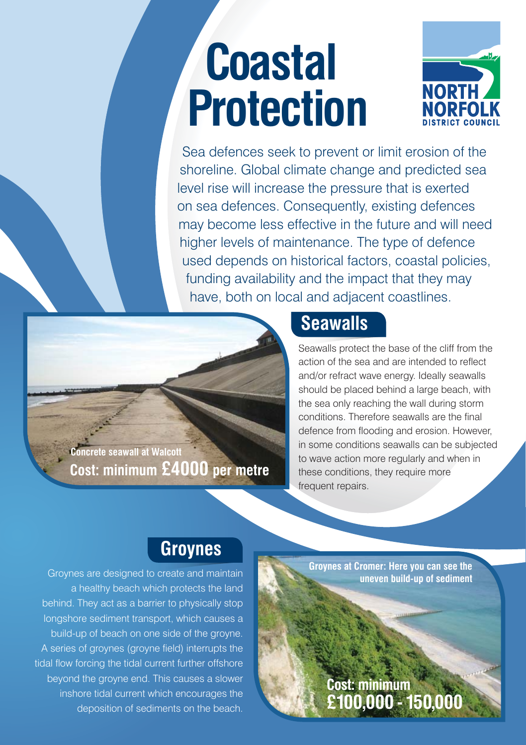# **Coastal Protection**



Sea defences seek to prevent or limit erosion of the shoreline. Global climate change and predicted sea level rise will increase the pressure that is exerted on sea defences. Consequently, existing defences may become less effective in the future and will need higher levels of maintenance. The type of defence used depends on historical factors, coastal policies, funding availability and the impact that they may have, both on local and adjacent coastlines.

**Cost: minimum £4000 per metre Concrete seawall at Walcott**

# **Seawalls**

Seawalls protect the base of the cliff from the S action of the sea and are intended to reflect and/or refract wave energy. Ideally seawalls should be placed behind a large beach, with the sea only reaching the wall during storm conditions. Therefore seawalls are the final defence from flooding and erosion. However, in some conditions seawalls can be subjected to wave action more regularly and when in these conditions, they require more frequent repairs.

#### **Groynes**

Groynes are designed to create and maintain a healthy beach which protects the land behind. They act as a barrier to physically stop longshore sediment transport, which causes a build-up of beach on one side of the groyne. A series of groynes (groyne field) interrupts the tidal flow forcing the tidal current further offshore beyond the groyne end. This causes a slower inshore tidal current which encourages the deposition of sediments on the beach. **Groynes at Cromer: Here you can see the uneven build-up of sediment**

**Cost: minimum** 

**£100,000 - 150,000**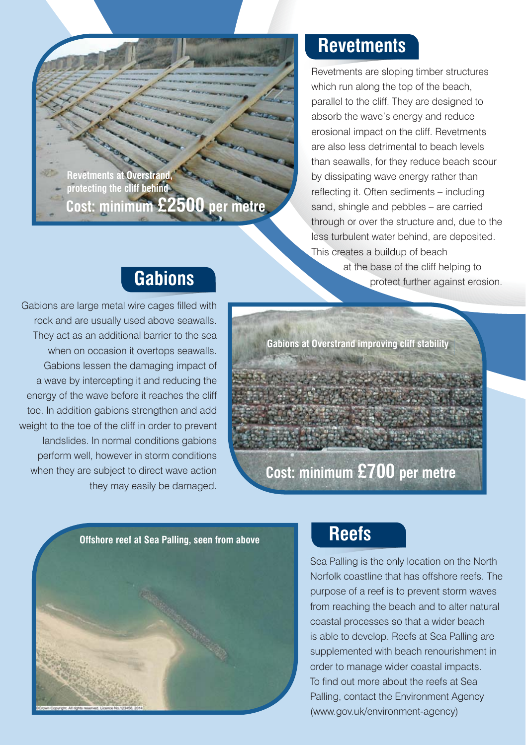

### **Revetments**

Revetments are sloping timber structures which run along the top of the beach, parallel to the cliff. They are designed to absorb the wave's energy and reduce erosional impact on the cliff. Revetments are also less detrimental to beach levels than seawalls, for they reduce beach scour by dissipating wave energy rather than reflecting it. Often sediments – including sand, shingle and pebbles – are carried through or over the structure and, due to the less turbulent water behind, are deposited. This creates a buildup of beach at the base of the cliff helping to protect further against erosion.

## **Gabions**

Gabions are large metal wire cages filled with rock and are usually used above seawalls. They act as an additional barrier to the sea when on occasion it overtops seawalls. Gabions lessen the damaging impact of a wave by intercepting it and reducing the energy of the wave before it reaches the cliff toe. In addition gabions strengthen and add weight to the toe of the cliff in order to prevent landslides. In normal conditions gabions perform well, however in storm conditions when they are subject to direct wave action they may easily be damaged.





## **Reefs**

Sea Palling is the only location on the North Norfolk coastline that has offshore reefs. The purpose of a reef is to prevent storm waves from reaching the beach and to alter natural coastal processes so that a wider beach is able to develop. Reefs at Sea Palling are supplemented with beach renourishment in order to manage wider coastal impacts. To find out more about the reefs at Sea Palling, contact the Environment Agency (www.gov.uk/environment-agency)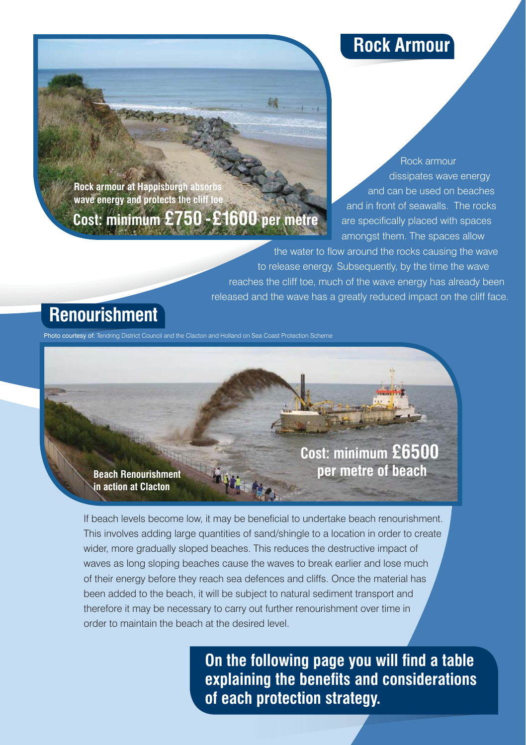#### **Rock Armour**

**Rock armour at Happisburgh absorbs wave energy and protects the cliff to** 

# **Cost: minimum £750 - £1600 per metre**

Rock armour dissipates wave energy and can be used on beaches and in front of seawalls. The rocks are specifically placed with spaces amongst them. The spaces allow

the water to flow around the rocks causing the wave to release energy. Subsequently, by the time the wave reaches the cliff toe, much of the wave energy has already been released and the wave has a greatly reduced impact on the cliff face.

### **Renourishment**

Photo courtesy of: Tendring District Council and the Clacton and Holland on Sea Coast Protection Scheme

**Cost: minimum £6500 per metre of beach**

**Beach Renourishment in action at Clacton** 

If beach levels become low, it may be beneficial to undertake beach renourishment. This involves adding large quantities of sand/shingle to a location in order to create wider, more gradually sloped beaches. This reduces the destructive impact of waves as long sloping beaches cause the waves to break earlier and lose much of their energy before they reach sea defences and cliffs. Once the material has been added to the beach, it will be subject to natural sediment transport and therefore it may be necessary to carry out further renourishment over time in order to maintain the beach at the desired level.

> **On the following page you will find a table explaining the benefits and considerations of each protection strategy.**